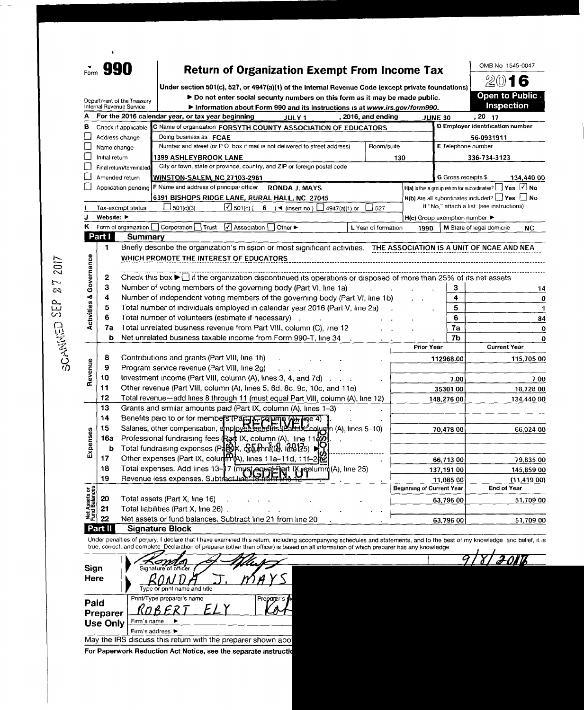|                                | Form 990                       | <b>Return of Organization Exempt From Income Tax</b>                                                                                                                                                                                                                                                                   |                                  |                             | OMB No 1545-0047                                           |
|--------------------------------|--------------------------------|------------------------------------------------------------------------------------------------------------------------------------------------------------------------------------------------------------------------------------------------------------------------------------------------------------------------|----------------------------------|-----------------------------|------------------------------------------------------------|
|                                |                                | Under section 501(c), 527, or 4947(a)(1) of the Internal Revenue Code (except private foundations)                                                                                                                                                                                                                     |                                  |                             | 2016                                                       |
|                                |                                | Do not enter social security numbers on this form as it may be made public.<br>Department of the Treasury                                                                                                                                                                                                              |                                  |                             | Open to Public                                             |
|                                | Internal Revenue Service       | Information about Form 990 and its instructions is at www.irs.gov/form990.                                                                                                                                                                                                                                             |                                  |                             | Inspection                                                 |
|                                |                                | For the 2016 calendar year, or tax year beginning<br>, 2016, and ending<br>JULY 1                                                                                                                                                                                                                                      |                                  | <b>JUNE 30</b>              | $, 20$ 17                                                  |
| в                              |                                | Check if applicable<br>C Name of organization FORSYTH COUNTY ASSOCIATION OF EDUCATORS                                                                                                                                                                                                                                  |                                  |                             | D Employer identification number                           |
|                                | Address change                 | Doing business as FCAE                                                                                                                                                                                                                                                                                                 |                                  |                             | 56-0931911                                                 |
|                                | Name change                    | Number and street (or P O box if mail is not delivered to street address)                                                                                                                                                                                                                                              | Room/suite                       | E Telephone number          |                                                            |
|                                | Initial return                 | 1399 ASHLEYBROOK LANE                                                                                                                                                                                                                                                                                                  | 130                              |                             | 336-734-3123                                               |
|                                |                                | City or town, state or province, country, and ZIP or foreign postal code<br>Final return/terminated                                                                                                                                                                                                                    |                                  |                             |                                                            |
|                                | Amended return                 | WINSTON-SALEM, NC 27103-2961                                                                                                                                                                                                                                                                                           |                                  | G Gross receipts \$         | 134,440 00                                                 |
|                                |                                | F Name and address of principal officer<br>Application pending<br><b>RONDA J. MAYS</b>                                                                                                                                                                                                                                 |                                  |                             | H(a) Is this a group return for subordinates? Ves 4 No     |
|                                |                                | 6391 BISHOPS RIDGE LANE, RURAL HALL, NC 27045                                                                                                                                                                                                                                                                          |                                  |                             | $H(b)$ Are all subordinates included? $\Box$ Yes $\Box$ No |
|                                |                                | $\boxed{2}$ 501(c) (6) + (insert no) $\boxed{1}$ 4947(a)(1) or<br>$-501(c)(3)$<br>Tax-exempt status<br>$\_$ 527                                                                                                                                                                                                        |                                  |                             | If "No," attach a list (see instructions)                  |
|                                | Website: $\blacktriangleright$ |                                                                                                                                                                                                                                                                                                                        |                                  | H(c) Group exemption number |                                                            |
|                                |                                | Association<br>Form of organization Corporation Trust<br>Other ><br>L Year of formation                                                                                                                                                                                                                                | 1990                             |                             | M State of legal domicile<br>NC                            |
|                                | Part I                         | Summary                                                                                                                                                                                                                                                                                                                |                                  |                             |                                                            |
|                                | 1.                             | Briefly describe the organization's mission or most significant activities. THE ASSOCIATION IS A UNIT OF NCAE AND NEA                                                                                                                                                                                                  |                                  |                             |                                                            |
|                                |                                | WHICH PROMOTE THE INTEREST OF EDUCATORS                                                                                                                                                                                                                                                                                |                                  |                             |                                                            |
| Governance                     |                                |                                                                                                                                                                                                                                                                                                                        |                                  |                             |                                                            |
|                                | 2                              | Check this box $\blacktriangleright$ if the organization discontinued its operations or disposed of more than 25% of its net assets                                                                                                                                                                                    |                                  |                             |                                                            |
|                                | 3                              | Number of voting members of the governing body (Part VI, line 1a)                                                                                                                                                                                                                                                      |                                  | з                           | 14                                                         |
|                                | 4                              | Number of independent voting members of the governing body (Part VI, line 1b)                                                                                                                                                                                                                                          |                                  | 4                           | 0<br>$\mathbf{1}$                                          |
| <b>Activities &amp;</b>        | 5                              | Total number of individuals employed in calendar year 2016 (Part V, line 2a)                                                                                                                                                                                                                                           |                                  | 5                           |                                                            |
|                                | 6                              | Total number of volunteers (estimate if necessary)                                                                                                                                                                                                                                                                     |                                  | 6                           | 84                                                         |
|                                | 7а                             | Total unrelated business revenue from Part VIII, column (C), line 12                                                                                                                                                                                                                                                   |                                  | 7a                          | 0                                                          |
|                                | ь                              | Net unrelated business taxable income from Form 990-T, line 34                                                                                                                                                                                                                                                         |                                  | 7b                          | 0                                                          |
|                                |                                |                                                                                                                                                                                                                                                                                                                        | <b>Prior Year</b>                |                             | <b>Current Year</b>                                        |
|                                | 8                              | Contributions and grants (Part VIII, line 1h)                                                                                                                                                                                                                                                                          |                                  | 112968.00                   | 115,705 00                                                 |
| Revenue                        | 9                              | Program service revenue (Part VIII, line 2g)                                                                                                                                                                                                                                                                           |                                  |                             |                                                            |
|                                | 10                             | Investment income (Part VIII, column (A), lines 3, 4, and 7d)                                                                                                                                                                                                                                                          |                                  | 7.00                        | 700                                                        |
|                                | 11                             | Other revenue (Part VIII, column (A), lines 5, 6d, 8c, 9c, 10c, and 11e)                                                                                                                                                                                                                                               |                                  | 35301 00                    | 18,728 00                                                  |
|                                | 12                             | Total revenue-add lines 8 through 11 (must equal Part VIII, column (A), line 12)                                                                                                                                                                                                                                       |                                  | 148,276 00                  | 134,440 00                                                 |
|                                | 13                             | Grants and similar amounts paid (Part IX, column (A), lines 1-3)                                                                                                                                                                                                                                                       |                                  |                             |                                                            |
|                                | 14                             | Benefits paid to or for members (Party Calumn A) line 4)<br>Salaries, other compensation, employee benefits (Party Colugn (A), lines 5-10)                                                                                                                                                                             |                                  |                             |                                                            |
| <b>ISes</b>                    | 15                             |                                                                                                                                                                                                                                                                                                                        |                                  | 70,478 00                   | 66.024 00                                                  |
|                                | 16a                            | Professional fundraising fees (Rant IX, column (A), line 11evol                                                                                                                                                                                                                                                        |                                  |                             |                                                            |
| Exper                          | b                              | Total fundraising expenses ( $P_4$ BK, Sonthru(0), $R_4$ (25)                                                                                                                                                                                                                                                          |                                  |                             |                                                            |
|                                | 17                             | Other expenses (Part IX, column), lines 11a-11d, 11f-2                                                                                                                                                                                                                                                                 |                                  | 66,713 00                   | 79.835 00                                                  |
|                                | 18                             | Total expenses. Add lines 13-17 (mystequathert IX, replumm (A), line 25)                                                                                                                                                                                                                                               |                                  | 137,19100                   | 145,859 00                                                 |
|                                | 19                             | Revenue less expenses. Subtract line                                                                                                                                                                                                                                                                                   | <b>Beginning of Current Year</b> | 11,085 00                   | (11, 419, 00)<br><b>End of Year</b>                        |
| Net Assets or<br>Fund Balances |                                |                                                                                                                                                                                                                                                                                                                        |                                  |                             |                                                            |
|                                | 20                             | Total assets (Part X, line 16)                                                                                                                                                                                                                                                                                         |                                  | 63,796 00                   | 51,709 00                                                  |
|                                | 21<br>22                       | Total liabilities (Part X, line 26)                                                                                                                                                                                                                                                                                    |                                  |                             |                                                            |
|                                |                                | Net assets or fund balances. Subtract line 21 from line 20                                                                                                                                                                                                                                                             |                                  | 63,796 00                   | 51,709 00                                                  |
|                                | Part II                        | <b>Signature Block</b>                                                                                                                                                                                                                                                                                                 |                                  |                             |                                                            |
|                                |                                | Under penalties of perjury, I declare that I have examined this return, including accompanying schedules and statements, and to the best of my knowledge and belief, it is<br>true, correct, and complete_Declaration of preparer (other than officer) is based on all information of which preparer has any knowledge |                                  |                             |                                                            |
|                                |                                |                                                                                                                                                                                                                                                                                                                        |                                  |                             |                                                            |
|                                |                                |                                                                                                                                                                                                                                                                                                                        |                                  |                             |                                                            |
| Sign                           |                                | Signature of officer                                                                                                                                                                                                                                                                                                   |                                  |                             |                                                            |
|                                |                                |                                                                                                                                                                                                                                                                                                                        |                                  |                             |                                                            |
| Here                           |                                |                                                                                                                                                                                                                                                                                                                        |                                  |                             |                                                            |
|                                |                                | Type or print name and title                                                                                                                                                                                                                                                                                           |                                  |                             |                                                            |
| Paid                           |                                | Print/Type preparer's name<br>Preparer                                                                                                                                                                                                                                                                                 |                                  |                             |                                                            |

May the IRS discuss this return with the preparer shown abo, For Paperwork Reduction Act Notice, see the separate instruction

Firm's address ►

 $\sim$  $\sim$ 

0 IJ v)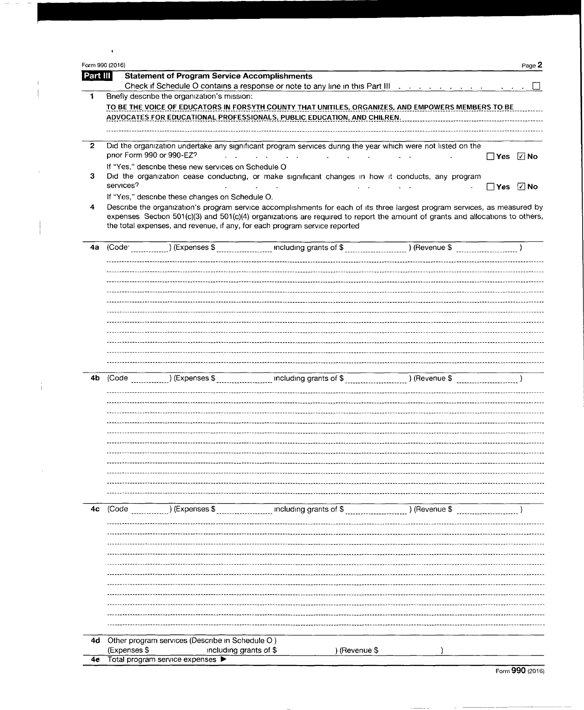|                | Form 990 (2016)           |                                                                           |                                                                                                                                                                                                                                                                                                                                           |               | Page 2               |
|----------------|---------------------------|---------------------------------------------------------------------------|-------------------------------------------------------------------------------------------------------------------------------------------------------------------------------------------------------------------------------------------------------------------------------------------------------------------------------------------|---------------|----------------------|
| Part III       |                           | <b>Statement of Program Service Accomplishments</b>                       |                                                                                                                                                                                                                                                                                                                                           |               |                      |
|                |                           |                                                                           | Check if Schedule O contains a response or note to any line in this Part III (Allempure Allempure Allempure Al                                                                                                                                                                                                                            |               |                      |
|                |                           | Briefly describe the organization's mission:                              |                                                                                                                                                                                                                                                                                                                                           |               |                      |
|                |                           |                                                                           | TO BE THE VOICE OF EDUCATORS IN FORSYTH COUNTY THAT UNITILES, ORGANIZES, AND EMPOWERS MEMBERS TO BE                                                                                                                                                                                                                                       |               |                      |
|                |                           |                                                                           | ADVOCATES FOR EDUCATIONAL PROFESSIONALS, PUBLIC EDUCATION, AND CHILREN.                                                                                                                                                                                                                                                                   |               |                      |
|                |                           |                                                                           |                                                                                                                                                                                                                                                                                                                                           |               |                      |
| $\mathbf{2}$   | prior Form 990 or 990-EZ? |                                                                           | Did the organization undertake any significant program services during the year which were not listed on the<br>the contract of the contract of the contract of the contract of the contract of the contract of the contract of                                                                                                           |               | $\Box$ Yes $\Box$ No |
|                |                           | If "Yes," describe these new services on Schedule O                       |                                                                                                                                                                                                                                                                                                                                           |               |                      |
| 3              |                           |                                                                           | Did the organization cease conducting, or make significant changes in how it conducts, any program                                                                                                                                                                                                                                        |               |                      |
|                | services?                 |                                                                           |                                                                                                                                                                                                                                                                                                                                           |               | $\Box$ Yes $\Box$ No |
|                |                           | If "Yes," describe these changes on Schedule O.                           |                                                                                                                                                                                                                                                                                                                                           |               |                      |
| 4              |                           |                                                                           | Describe the organization's program service accomplishments for each of its three largest program services, as measured by<br>expenses Section 501(c)(3) and 501(c)(4) organizations are required to report the amount of grants and allocations to others,<br>the total expenses, and revenue, if any, for each program service reported |               |                      |
| 4a             | (Code <sup>.</sup>        |                                                                           |                                                                                                                                                                                                                                                                                                                                           |               |                      |
|                |                           |                                                                           |                                                                                                                                                                                                                                                                                                                                           |               |                      |
|                |                           |                                                                           |                                                                                                                                                                                                                                                                                                                                           |               |                      |
|                |                           |                                                                           |                                                                                                                                                                                                                                                                                                                                           |               |                      |
|                |                           |                                                                           |                                                                                                                                                                                                                                                                                                                                           |               |                      |
|                |                           |                                                                           |                                                                                                                                                                                                                                                                                                                                           |               |                      |
|                |                           |                                                                           |                                                                                                                                                                                                                                                                                                                                           |               |                      |
|                |                           |                                                                           |                                                                                                                                                                                                                                                                                                                                           |               |                      |
|                |                           |                                                                           |                                                                                                                                                                                                                                                                                                                                           |               |                      |
|                |                           |                                                                           |                                                                                                                                                                                                                                                                                                                                           |               |                      |
|                |                           |                                                                           |                                                                                                                                                                                                                                                                                                                                           |               |                      |
| 4b             | (Code                     |                                                                           |                                                                                                                                                                                                                                                                                                                                           |               |                      |
|                |                           |                                                                           |                                                                                                                                                                                                                                                                                                                                           |               |                      |
|                |                           |                                                                           |                                                                                                                                                                                                                                                                                                                                           |               |                      |
|                |                           |                                                                           |                                                                                                                                                                                                                                                                                                                                           |               |                      |
|                |                           |                                                                           |                                                                                                                                                                                                                                                                                                                                           |               |                      |
|                |                           |                                                                           |                                                                                                                                                                                                                                                                                                                                           |               |                      |
|                |                           |                                                                           |                                                                                                                                                                                                                                                                                                                                           |               |                      |
|                |                           |                                                                           |                                                                                                                                                                                                                                                                                                                                           |               |                      |
|                |                           |                                                                           |                                                                                                                                                                                                                                                                                                                                           |               |                      |
|                |                           |                                                                           |                                                                                                                                                                                                                                                                                                                                           |               |                      |
|                |                           |                                                                           |                                                                                                                                                                                                                                                                                                                                           |               |                      |
|                |                           |                                                                           |                                                                                                                                                                                                                                                                                                                                           |               |                      |
| 4 <sub>c</sub> | (Code                     | ) (Expenses \$                                                            | including grants of \$                                                                                                                                                                                                                                                                                                                    | ) (Revenue \$ |                      |
|                |                           |                                                                           |                                                                                                                                                                                                                                                                                                                                           |               |                      |
|                |                           |                                                                           |                                                                                                                                                                                                                                                                                                                                           |               |                      |
|                |                           |                                                                           |                                                                                                                                                                                                                                                                                                                                           |               |                      |
|                |                           |                                                                           |                                                                                                                                                                                                                                                                                                                                           |               |                      |
|                |                           |                                                                           |                                                                                                                                                                                                                                                                                                                                           |               |                      |
|                |                           |                                                                           |                                                                                                                                                                                                                                                                                                                                           |               |                      |
|                |                           |                                                                           |                                                                                                                                                                                                                                                                                                                                           |               |                      |
|                |                           |                                                                           |                                                                                                                                                                                                                                                                                                                                           |               |                      |
|                |                           |                                                                           |                                                                                                                                                                                                                                                                                                                                           |               |                      |
|                |                           |                                                                           |                                                                                                                                                                                                                                                                                                                                           |               |                      |
|                |                           |                                                                           |                                                                                                                                                                                                                                                                                                                                           |               |                      |
|                |                           |                                                                           |                                                                                                                                                                                                                                                                                                                                           |               |                      |
| 4d             | (Expenses \$              | Other program services (Describe in Schedule O)<br>including grants of \$ | ) (Revenue \$                                                                                                                                                                                                                                                                                                                             |               |                      |

 $\sim$   $\sim$   $-$ 

 $\sim$  -models of  $\sim$ 

 $\overline{\phantom{a}}$  $\overline{\phantom{a}}$ 

> $\mathbb{L}$  $\begin{array}{c} \hline \end{array}$

 $\alpha$ 

 $\frac{1}{4}$ 

 $\sim 10^{-10}$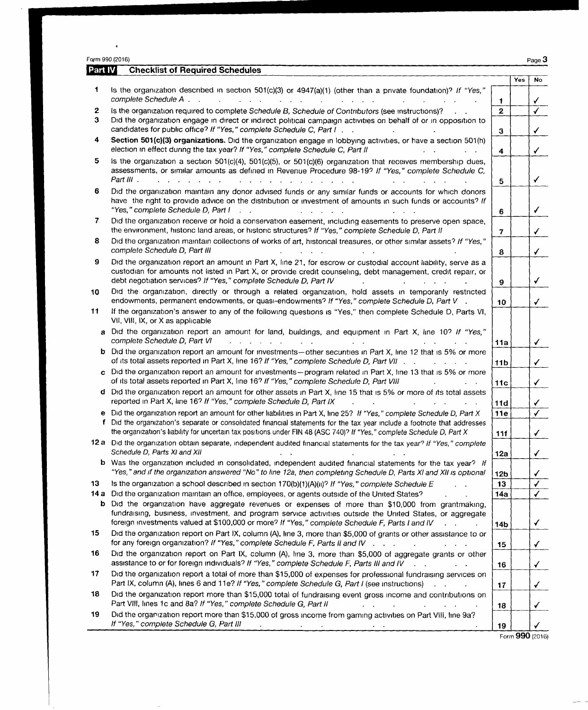| Part IV      | Form 990 (2016)<br><b>Checklist of Required Schedules</b>                                                                                                                                                                                                                                                                                                                                                                                                                                                                                                                                           |                 |     | Page 3                  |
|--------------|-----------------------------------------------------------------------------------------------------------------------------------------------------------------------------------------------------------------------------------------------------------------------------------------------------------------------------------------------------------------------------------------------------------------------------------------------------------------------------------------------------------------------------------------------------------------------------------------------------|-----------------|-----|-------------------------|
|              |                                                                                                                                                                                                                                                                                                                                                                                                                                                                                                                                                                                                     |                 | Yes | <b>No</b>               |
| 1            | Is the organization described in section 501(c)(3) or 4947(a)(1) (other than a private foundation)? If "Yes,"<br>complete Schedule A<br>$\label{eq:2.1} \begin{array}{cccccccccccccc} \mathbf{1} & \mathbf{1} & \mathbf{1} & \mathbf{1} & \mathbf{1} & \mathbf{1} & \mathbf{1} & \mathbf{1} & \mathbf{1} & \mathbf{1} & \mathbf{1} & \mathbf{1} & \mathbf{1} & \mathbf{1} & \mathbf{1} & \mathbf{1} & \mathbf{1} & \mathbf{1} & \mathbf{1} & \mathbf{1} & \mathbf{1} & \mathbf{1} & \mathbf{1} & \mathbf{1} & \mathbf{1} & \mathbf{1} & \mathbf{1} & \mathbf{1} & \mathbf{1$<br>and a strategic and | 1               |     | ✓                       |
| $\mathbf{2}$ | Is the organization required to complete Schedule B, Schedule of Contributors (see instructions)?                                                                                                                                                                                                                                                                                                                                                                                                                                                                                                   | $\mathbf{2}$    |     | $\overline{\checkmark}$ |
| З            | Did the organization engage in direct or indirect political campaign activities on behalf of or in opposition to<br>candidates for public office? If "Yes," complete Schedule C, Part I.                                                                                                                                                                                                                                                                                                                                                                                                            | З               |     | $\checkmark$            |
| 4            | Section 501(c)(3) organizations. Did the organization engage in lobbying activities, or have a section 501(h)<br>election in effect during the tax year? If "Yes," complete Schedule C, Part II                                                                                                                                                                                                                                                                                                                                                                                                     | 4               |     | $\checkmark$            |
| 5            | is the organization a section $501(c)(4)$ , $501(c)(5)$ , or $501(c)(6)$ organization that receives membership dues,<br>assessments, or similar amounts as defined in Revenue Procedure 98-19? If "Yes," complete Schedule C,<br>Part III.                                                                                                                                                                                                                                                                                                                                                          |                 |     | $\checkmark$            |
| 6            | Did the organization maintain any donor advised funds or any similar funds or accounts for which donors                                                                                                                                                                                                                                                                                                                                                                                                                                                                                             | 5               |     |                         |
|              | have the right to provide advice on the distribution or investment of amounts in such funds or accounts? If<br>"Yes," complete Schedule D, Part I                                                                                                                                                                                                                                                                                                                                                                                                                                                   | 6               |     | $\checkmark$            |
| 7.           | Did the organization receive or hold a conservation easement, including easements to preserve open space,<br>the environment, historic land areas, or historic structures? If "Yes," complete Schedule D, Part II                                                                                                                                                                                                                                                                                                                                                                                   | $\overline{7}$  |     | $\checkmark$            |
| 8            | Did the organization maintain collections of works of art, historical treasures, or other similar assets? If "Yes,"<br>complete Schedule D, Part III                                                                                                                                                                                                                                                                                                                                                                                                                                                | 8               |     | $\checkmark$            |
| 9            | Did the organization report an amount in Part X, line 21, for escrow or custodial account liability, serve as a<br>custodian for amounts not listed in Part X, or provide credit counseling, debt management, credit repair, or<br>debt negotiation services? If "Yes," complete Schedule D, Part IV                                                                                                                                                                                                                                                                                                | 9               |     | $\checkmark$            |
| 10           | Did the organization, directly or through a related organization, hold assets in temporarily restricted<br>endowments, permanent endowments, or quasi-endowments? If "Yes," complete Schedule D, Part V.                                                                                                                                                                                                                                                                                                                                                                                            | 10              |     | $\checkmark$            |
| 11           | If the organization's answer to any of the following questions is "Yes," then complete Schedule D, Parts VI,<br>VII, VIII, IX, or X as applicable                                                                                                                                                                                                                                                                                                                                                                                                                                                   |                 |     |                         |
| a            | Did the organization report an amount for land, buildings, and equipment in Part X, line 10? If "Yes,"<br>complete Schedule D, Part VI<br>$\mathcal{L}^{\mathcal{A}}$ , and $\mathcal{L}^{\mathcal{A}}$ , and $\mathcal{L}^{\mathcal{A}}$ , and $\mathcal{L}^{\mathcal{A}}$                                                                                                                                                                                                                                                                                                                         | <b>11a</b>      |     | ✓                       |
| b            | Did the organization report an amount for investments-other securities in Part X, line 12 that is 5% or more<br>of its total assets reported in Part X, line 16? If "Yes," complete Schedule D, Part VII                                                                                                                                                                                                                                                                                                                                                                                            | 11 <sub>b</sub> |     | $\checkmark$            |
|              | c Did the organization report an amount for investments-program related in Part X, line 13 that is 5% or more<br>of its total assets reported in Part X, line 16? If "Yes," complete Schedule D, Part VIII                                                                                                                                                                                                                                                                                                                                                                                          | 11c             |     | $\checkmark$            |
|              | d Did the organization report an amount for other assets in Part X, line 15 that is 5% or more of its total assets<br>reported in Part X, line 16? If "Yes," complete Schedule D, Part IX                                                                                                                                                                                                                                                                                                                                                                                                           | 11d             |     | ✓                       |
|              | e Did the organization report an amount for other liabilities in Part X, line 25? If "Yes," complete Schedule D, Part X<br>f Did the organization's separate or consolidated financial statements for the tax year include a footnote that addresses                                                                                                                                                                                                                                                                                                                                                | 11e             |     | $\sqrt{ }$              |
|              | the organization's liability for uncertain tax positions under FIN 48 (ASC 740)? If "Yes," complete Schedule D, Part X<br>12 a Did the organization obtain separate, independent audited financial statements for the tax year? If "Yes," complete                                                                                                                                                                                                                                                                                                                                                  | 11f             |     |                         |
|              | Schedule D, Parts XI and XII<br><b>b</b> Was the organization included in consolidated, independent audited financial statements for the tax year? If                                                                                                                                                                                                                                                                                                                                                                                                                                               | 12a             |     | ✓                       |
|              | "Yes," and if the organization answered "No" to line 12a, then completing Schedule D, Parts XI and XII is optional                                                                                                                                                                                                                                                                                                                                                                                                                                                                                  | 12b             |     | ✓                       |
| 13           | Is the organization a school described in section $170(b)(1)(A)(n)^{2}$ If "Yes," complete Schedule E<br>14 a Did the organization maintain an office, employees, or agents outside of the United States?                                                                                                                                                                                                                                                                                                                                                                                           | 13<br>14a       |     | $\checkmark$<br>✓       |
| b            | Did the organization have aggregate revenues or expenses of more than \$10,000 from grantmaking,<br>fundraising, business, investment, and program service activities outside the United States, or aggregate                                                                                                                                                                                                                                                                                                                                                                                       |                 |     |                         |
| 15           | foreign investments valued at \$100,000 or more? If "Yes," complete Schedule F, Parts I and IV<br>Did the organization report on Part IX, column (A), line 3, more than \$5,000 of grants or other assistance to or                                                                                                                                                                                                                                                                                                                                                                                 | 14b             |     | ✓                       |
| 16           | for any foreign organization? If "Yes," complete Schedule F, Parts II and IV<br>Did the organization report on Part IX, column (A), line 3, more than \$5,000 of aggregate grants or other                                                                                                                                                                                                                                                                                                                                                                                                          | 15              |     | ✓                       |
| 17           | assistance to or for foreign individuals? If "Yes," complete Schedule F, Parts III and IV<br>Did the organization report a total of more than \$15,000 of expenses for professional fundraising services on                                                                                                                                                                                                                                                                                                                                                                                         | 16              |     | ✓                       |
| 18           | Part IX, column (A), lines 6 and 11e? If "Yes," complete Schedule G, Part I (see instructions)<br>Did the organization report more than \$15,000 total of fundraising event gross income and contributions on                                                                                                                                                                                                                                                                                                                                                                                       | 17              |     | ✓                       |
| 19           | Part VIII, lines 1c and 8a? If "Yes," complete Schedule G, Part II<br>$\mathcal{L}^{\mathcal{L}}$<br>Did the organization report more than \$15,000 of gross income from gaming activities on Part VIII, line 9a?<br>If "Yes," complete Schedule G, Part III<br><b>Contract Contract</b>                                                                                                                                                                                                                                                                                                            | 18<br>19        |     | ✓                       |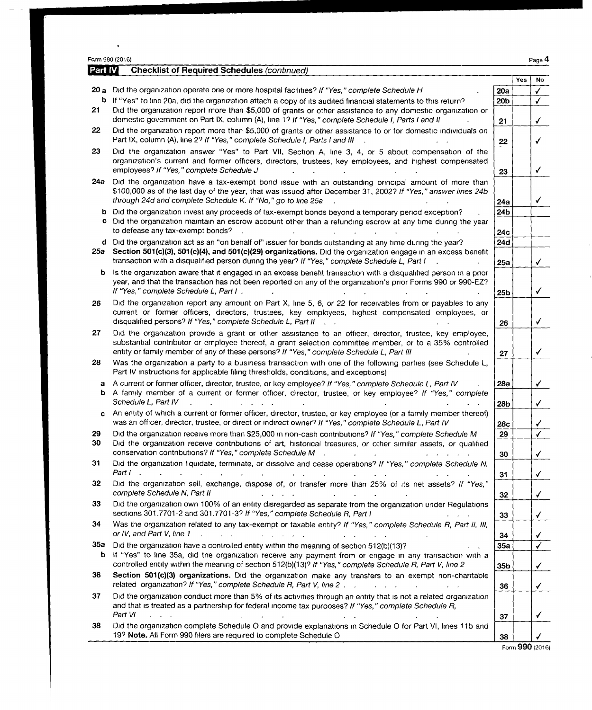|           | Part IV<br><b>Checklist of Required Schedules (continued)</b>                                                                                                                                                                                                                                                                                             |                        |     |                                         |
|-----------|-----------------------------------------------------------------------------------------------------------------------------------------------------------------------------------------------------------------------------------------------------------------------------------------------------------------------------------------------------------|------------------------|-----|-----------------------------------------|
|           |                                                                                                                                                                                                                                                                                                                                                           |                        | Yes | <b>No</b>                               |
|           | 20 a Did the organization operate one or more hospital facilities? If "Yes," complete Schedule H                                                                                                                                                                                                                                                          | 20a                    |     | $\checkmark$                            |
| 21        | b If "Yes" to line 20a, did the organization attach a copy of its audited financial statements to this return?<br>Did the organization report more than \$5,000 of grants or other assistance to any domestic organization or                                                                                                                             | 20 <sub>b</sub>        |     | $\checkmark$                            |
| 22        | domestic government on Part IX, column (A), line 1? If "Yes," complete Schedule I, Parts I and II<br>Did the organization report more than \$5,000 of grants or other assistance to or for domestic individuals on                                                                                                                                        | 21                     |     | $\checkmark$                            |
| 23        | Part IX, column (A), line 2? If "Yes," complete Schedule I, Parts I and III                                                                                                                                                                                                                                                                               | 22                     |     | $\checkmark$                            |
|           | Did the organization answer "Yes" to Part VII, Section A, line 3, 4, or 5 about compensation of the<br>organization's current and former officers, directors, trustees, key employees, and highest compensated<br>employees? If "Yes," complete Schedule J                                                                                                | 23                     |     | $\checkmark$                            |
| 24а       | Did the organization have a tax-exempt bond issue with an outstanding principal amount of more than<br>\$100,000 as of the last day of the year, that was issued after December 31, 2002? If "Yes," answer lines 24b<br>through 24d and complete Schedule K. If "No," go to line 25a                                                                      | 24a                    |     | ✓                                       |
| c         | b Did the organization invest any proceeds of tax-exempt bonds beyond a temporary period exception?<br>Did the organization maintain an escrow account other than a refunding escrow at any time during the year<br>to defease any tax-exempt bonds?                                                                                                      | 24 <sub>b</sub><br>24c |     |                                         |
| 25a       | d Did the organization act as an "on behalf of" issuer for bonds outstanding at any time during the year?<br>Section 501(c)(3), 501(c)(4), and 501(c)(29) organizations. Did the organization engage in an excess benefit<br>transaction with a disqualified person during the year? If "Yes," complete Schedule L, Part I                                | 24d<br>25a             |     | ✓                                       |
| b         | Is the organization aware that it engaged in an excess benefit transaction with a disqualified person in a prior<br>year, and that the transaction has not been reported on any of the organization's prior Forms 990 or 990-EZ?<br>If "Yes," complete Schedule L, Part I.                                                                                | 25b                    |     | ✓                                       |
| 26        | Did the organization report any amount on Part X, line 5, 6, or 22 for receivables from or payables to any<br>current or former officers, directors, trustees, key employees, highest compensated employees, or<br>disqualified persons? If "Yes," complete Schedule L, Part II                                                                           | 26                     |     | $\checkmark$                            |
| 27        | Did the organization provide a grant or other assistance to an officer, director, trustee, key employee,<br>substantial contributor or employee thereof, a grant selection committee member, or to a 35% controlled<br>entity or family member of any of these persons? If "Yes," complete Schedule L, Part III                                           | 27                     |     | $\checkmark$                            |
| 28        | Was the organization a party to a business transaction with one of the following parties (see Schedule L,<br>Part IV instructions for applicable filing thresholds, conditions, and exceptions)                                                                                                                                                           |                        |     |                                         |
| а<br>b    | A current or former officer, director, trustee, or key employee? If "Yes," complete Schedule L, Part IV<br>A family member of a current or former officer, director, trustee, or key employee? If "Yes," complete<br>Schedule L, Part IV                                                                                                                  | 28a<br>28 <sub>b</sub> |     | ✓<br>✓                                  |
| c         | An entity of which a current or former officer, director, trustee, or key employee (or a family member thereof)<br>was an officer, director, trustee, or direct or indirect owner? If "Yes," complete Schedule L, Part IV                                                                                                                                 | 28c                    |     | ✔                                       |
| 29<br>30  | Did the organization receive more than \$25,000 in non-cash contributions? If "Yes," complete Schedule M<br>Did the organization receive contributions of art, historical treasures, or other similar assets, or qualified<br>conservation contributions? If "Yes," complete Schedule M . The conservation contributions? If "Yes," complete Schedule M . | 29<br>30               |     | ✓<br>$\checkmark$                       |
| 31        | Did the organization liquidate, terminate, or dissolve and cease operations? If "Yes," complete Schedule N,<br>Part $l$ , and $l$ is a set of the set of the set of the set of the set of the set of the set of the set of the set of the set of the set of the set of the set of the set of the set of the set of the set of the set of the              |                        |     |                                         |
| 32        | Did the organization sell, exchange, dispose of, or transfer more than 25% of its net assets? If "Yes,"<br>complete Schedule N, Part II<br>$\mathcal{L}^{\mathcal{A}}$ . The contribution of the contribution of the contribution of $\mathcal{L}^{\mathcal{A}}$                                                                                          | 31                     |     | $\checkmark$                            |
| 33        | Did the organization own 100% of an entity disregarded as separate from the organization under Regulations<br>sections 301.7701-2 and 301.7701-3? If "Yes," complete Schedule R, Part I                                                                                                                                                                   | 32                     |     | $\checkmark$                            |
| 34        | Was the organization related to any tax-exempt or taxable entity? If "Yes," complete Schedule R, Part II, III,<br>or IV, and Part V, line 1<br>$\mathcal{A}^{\mathcal{A}}$ . The second constraints of the second constraints of $\mathcal{A}^{\mathcal{A}}$                                                                                              | 33<br>34               |     | $\checkmark$<br>$\checkmark$            |
| 35а<br>b. | Did the organization have a controlled entity within the meaning of section 512(b)(13)?<br>If "Yes" to line 35a, did the organization receive any payment from or engage in any transaction with a<br>controlled entity within the meaning of section 512(b)(13)? If "Yes," complete Schedule R, Part V, line 2                                           | 35a<br>35b             |     | $\overline{\checkmark}$<br>$\checkmark$ |
| 36        | Section 501(c)(3) organizations. Did the organization make any transfers to an exempt non-charitable                                                                                                                                                                                                                                                      | 36                     |     |                                         |
| 37        | Did the organization conduct more than 5% of its activities through an entity that is not a related organization<br>and that is treated as a partnership for federal income tax purposes? If "Yes," complete Schedule R,                                                                                                                                  |                        |     | $\checkmark$                            |
| 38        | Part VI<br><b>Contract Contract</b><br><b>Service State</b><br>$\mathcal{L}^{\text{max}}$<br>Did the organization complete Schedule O and provide explanations in Schedule O for Part VI, lines 11b and<br>19? Note. All Form 990 filers are required to complete Schedule O                                                                              | 37<br>38               |     | ✓                                       |

 $\bar{\bullet}$ 

J.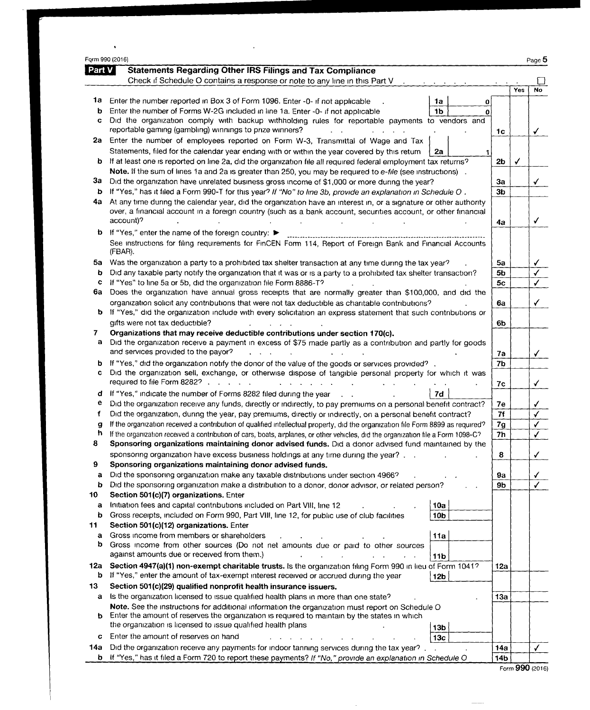|          | Form 990 (2016)                                                                                                                                                                                                        |                |     | Page 5 |
|----------|------------------------------------------------------------------------------------------------------------------------------------------------------------------------------------------------------------------------|----------------|-----|--------|
| Part $V$ | <b>Statements Regarding Other IRS Filings and Tax Compliance</b>                                                                                                                                                       |                |     |        |
|          | Check if Schedule O contains a response or note to any line in this Part V                                                                                                                                             |                |     |        |
|          |                                                                                                                                                                                                                        |                | Yes | No     |
| 1a       | Enter the number reported in Box 3 of Form 1096. Enter -0- if not applicable<br>1a<br>0                                                                                                                                |                |     |        |
| b<br>c   | Enter the number of Forms W-2G included in line 1a. Enter -0- if not applicable<br>1b<br>0<br>Did the organization comply with backup withholding rules for reportable payments to vendors and                         |                |     |        |
|          | reportable gaming (gambling) winnings to prize winners?                                                                                                                                                                |                |     |        |
| 2a       | Enter the number of employees reported on Form W-3, Transmittal of Wage and Tax                                                                                                                                        | 1c             |     | ✓      |
|          | Statements, filed for the calendar year ending with or within the year covered by this return<br>2a                                                                                                                    |                |     |        |
| b        | If at least one is reported on line 2a, did the organization file all required federal employment tax returns?                                                                                                         | 2 <sub>b</sub> |     |        |
|          | Note. If the sum of lines 1a and 2a is greater than 250, you may be required to e-file (see instructions).                                                                                                             |                |     |        |
| За       | Did the organization have unrelated business gross income of \$1,000 or more during the year?                                                                                                                          | Зa             |     | ✓      |
| b        | If "Yes," has it filed a Form 990-T for this year? If "No" to line 3b, provide an explanation in Schedule O.                                                                                                           | 3 <sub>b</sub> |     |        |
| 4а       | At any time during the calendar year, did the organization have an interest in, or a signature or other authority                                                                                                      |                |     |        |
|          | over, a financial account in a foreign country (such as a bank account, securities account, or other financial                                                                                                         |                |     |        |
|          | account)?                                                                                                                                                                                                              | 4a             |     | √      |
| b        | If "Yes," enter the name of the foreign country: ▶                                                                                                                                                                     |                |     |        |
|          | See instructions for filing requirements for FinCEN Form 114, Report of Foreign Bank and Financial Accounts<br>(FBAR).                                                                                                 |                |     |        |
| 5a       | Was the organization a party to a prohibited tax shelter transaction at any time during the tax year?                                                                                                                  | 5a             |     |        |
| b        | Did any taxable party notify the organization that it was or is a party to a prohibited tax shelter transaction?                                                                                                       | 5b             |     |        |
| c        | If "Yes" to line 5a or 5b, did the organization file Form 8886-T?                                                                                                                                                      | 5с             |     | ✓      |
| 6а       | Does the organization have annual gross receipts that are normally greater than \$100,000, and did the                                                                                                                 |                |     |        |
| b        | organization solicit any contributions that were not tax deductible as charitable contributions?<br>If "Yes," did the organization include with every solicitation an express statement that such contributions or     | 6a             |     | ✓      |
|          | gifts were not tax deductible?                                                                                                                                                                                         | 6b             |     |        |
| 7        | Organizations that may receive deductible contributions under section 170(c).                                                                                                                                          |                |     |        |
| a        | Did the organization receive a payment in excess of \$75 made partly as a contribution and partly for goods                                                                                                            |                |     |        |
|          | and services provided to the payor?                                                                                                                                                                                    | 7a             |     |        |
| b        | If "Yes," did the organization notify the donor of the value of the goods or services provided?                                                                                                                        | 7b             |     |        |
| c        | Did the organization sell, exchange, or otherwise dispose of tangible personal property for which it was<br>required to file Form 8282?                                                                                | 7с             |     | ✔      |
| đ        | If "Yes," indicate the number of Forms 8282 filed during the year<br>7d<br>$\sim$                                                                                                                                      |                |     |        |
| е        | Did the organization receive any funds, directly or indirectly, to pay premiums on a personal benefit contract?                                                                                                        | 7е             |     |        |
| f        | Did the organization, during the year, pay premiums, directly or indirectly, on a personal benefit contract?                                                                                                           | 7f             |     | √      |
| g        | If the organization received a contribution of qualified intellectual property, did the organization file Form 8899 as required?                                                                                       | 7g             |     |        |
| h        | If the organization received a contribution of cars, boats, airplanes, or other vehicles, did the organization file a Form 1098-C?                                                                                     | 7h             |     |        |
| 8        | Sponsoring organizations maintaining donor advised funds. Did a donor advised fund maintained by the                                                                                                                   |                |     |        |
| 9        | sponsoring organization have excess business holdings at any time during the year?<br>Sponsoring organizations maintaining donor advised funds.                                                                        | 8              |     |        |
| а        | Did the sponsoring organization make any taxable distributions under section 4966?                                                                                                                                     | 9а             |     |        |
| b        | Did the sponsoring organization make a distribution to a donor, donor advisor, or related person?                                                                                                                      | 9b             |     |        |
| 10       | Section 501(c)(7) organizations. Enter                                                                                                                                                                                 |                |     |        |
| a        | Initiation fees and capital contributions included on Part VIII, line 12<br>10a                                                                                                                                        |                |     |        |
| b        | Gross receipts, included on Form 990, Part VIII, line 12, for public use of club facilities<br>10 <sub>b</sub>                                                                                                         |                |     |        |
| 11       | Section 501(c)(12) organizations. Enter                                                                                                                                                                                |                |     |        |
| а        | Gross income from members or shareholders<br>11a                                                                                                                                                                       |                |     |        |
| b        | Gross income from other sources (Do not net amounts due or paid to other sources<br>against amounts due or received from them.)                                                                                        |                |     |        |
|          | $\Delta \sim 10^{-11}$<br>11 <sub>b</sub>                                                                                                                                                                              |                |     |        |
| 12a<br>b | Section 4947(a)(1) non-exempt charitable trusts. Is the organization filing Form 990 in lieu of Form 1041?<br>If "Yes," enter the amount of tax-exempt interest received or accrued during the year<br>12 <sub>b</sub> | 12a            |     |        |
| 13       | Section 501(c)(29) qualified nonprofit health insurance issuers.                                                                                                                                                       |                |     |        |
| а        | Is the organization licensed to issue qualified health plans in more than one state?                                                                                                                                   | 13a            |     |        |
|          | Note. See the instructions for additional information the organization must report on Schedule O                                                                                                                       |                |     |        |
|          | <b>b</b> Enter the amount of reserves the organization is required to maintain by the states in which                                                                                                                  |                |     |        |
|          | the organization is licensed to issue qualified health plans<br>13 <sub>b</sub>                                                                                                                                        |                |     |        |
| c        | Enter the amount of reserves on hand<br>13 <sub>c</sub>                                                                                                                                                                |                |     |        |
| 14a      | Did the organization receive any payments for indoor tanning services during the tax year?.                                                                                                                            | 14a            |     | ✓      |
| b        | If "Yes," has it filed a Form 720 to report these payments? If "No," provide an explanation in Schedule O                                                                                                              | 14b            |     |        |

 $\bar{a}$ 

 $\hat{\mathbf{r}}$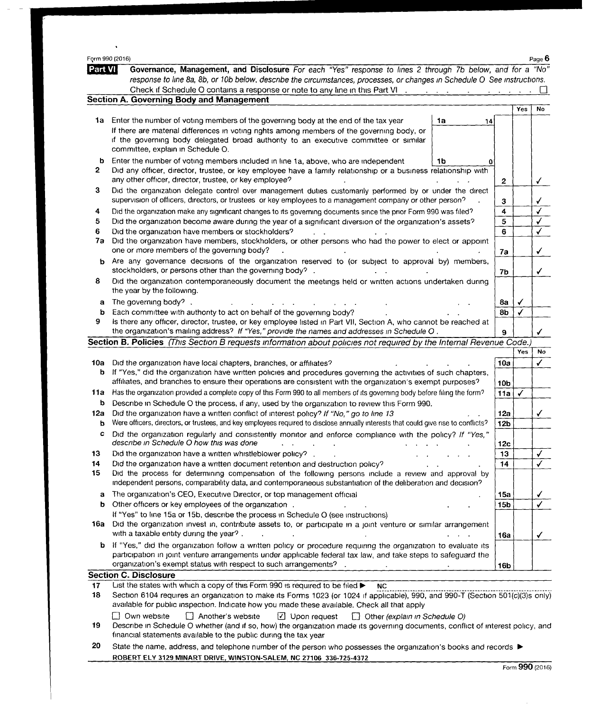| Form 990 (2016) |                                                                                                                                                                                                                                |                                      |                 |     | Page 6       |
|-----------------|--------------------------------------------------------------------------------------------------------------------------------------------------------------------------------------------------------------------------------|--------------------------------------|-----------------|-----|--------------|
| Part VI         | Governance, Management, and Disclosure For each "Yes" response to lines 2 through 7b below, and for a "No"                                                                                                                     |                                      |                 |     |              |
|                 | response to line 8a, 8b, or 10b below, describe the circumstances, processes, or changes in Schedule O See instructions.                                                                                                       |                                      |                 |     |              |
|                 | Check if Schedule O contains a response or note to any line in this Part VI .<br><b>Section A. Governing Body and Management</b>                                                                                               | and a strong control of the state of |                 |     |              |
|                 |                                                                                                                                                                                                                                |                                      |                 | Yes | No           |
| 1a              | Enter the number of voting members of the governing body at the end of the tax year                                                                                                                                            | 1a<br>14                             |                 |     |              |
|                 | If there are material differences in voting rights among members of the governing body, or                                                                                                                                     |                                      |                 |     |              |
|                 | if the governing body delegated broad authority to an executive committee or similar                                                                                                                                           |                                      |                 |     |              |
|                 | committee, explain in Schedule O.                                                                                                                                                                                              |                                      |                 |     |              |
| b               | Enter the number of voting members included in line 1a, above, who are independent                                                                                                                                             | 1b                                   |                 |     |              |
| 2               | Did any officer, director, trustee, or key employee have a family relationship or a business relationship with                                                                                                                 |                                      |                 |     |              |
|                 | any other officer, director, trustee, or key employee?                                                                                                                                                                         |                                      | $\mathbf{2}$    |     | ✓            |
| З               | Did the organization delegate control over management duties customarily performed by or under the direct<br>supervision of officers, directors, or trustees or key employees to a management company or other person?         |                                      |                 |     |              |
| 4               | Did the organization make any significant changes to its governing documents since the prior Form 990 was filed?                                                                                                               |                                      | 3<br>4          |     | √            |
| 5               | Did the organization become aware during the year of a significant diversion of the organization's assets?                                                                                                                     |                                      | 5               |     |              |
| 6               | Did the organization have members or stockholders?                                                                                                                                                                             |                                      | 6               |     |              |
| 7a              | Did the organization have members, stockholders, or other persons who had the power to elect or appoint                                                                                                                        |                                      |                 |     |              |
|                 | one or more members of the governing body?                                                                                                                                                                                     |                                      | 7a              |     |              |
| b               | Are any governance decisions of the organization reserved to (or subject to approval by) members,                                                                                                                              |                                      |                 |     |              |
|                 | stockholders, or persons other than the governing body?.                                                                                                                                                                       |                                      | 7b              |     | ✓            |
| 8               | Did the organization contemporaneously document the meetings held or written actions undertaken during<br>the year by the following.                                                                                           |                                      |                 |     |              |
| a               | The governing body?.                                                                                                                                                                                                           |                                      | 8a              |     |              |
| b               | Each committee with authority to act on behalf of the governing body?                                                                                                                                                          |                                      | 8b              |     |              |
| 9               | Is there any officer, director, trustee, or key employee listed in Part VII, Section A, who cannot be reached at                                                                                                               |                                      |                 |     |              |
|                 | the organization's mailing address? If "Yes," provide the names and addresses in Schedule O.                                                                                                                                   |                                      | 9               |     |              |
|                 | Section B. Policies (This Section B requests information about policies not required by the Internal Revenue Code.)                                                                                                            |                                      |                 |     |              |
|                 |                                                                                                                                                                                                                                |                                      |                 | Yes | No           |
| 10a<br>b        | Did the organization have local chapters, branches, or affiliates?<br>If "Yes," did the organization have written policies and procedures governing the activities of such chapters,                                           |                                      | 10a             |     | $\checkmark$ |
|                 | affiliates, and branches to ensure their operations are consistent with the organization's exempt purposes?                                                                                                                    |                                      | 10 <sub>b</sub> |     |              |
| 11a             | Has the organization provided a complete copy of this Form 990 to all members of its governing body before filing the form?                                                                                                    |                                      | 11a             |     |              |
| b               | Describe in Schedule O the process, if any, used by the organization to review this Form 990.                                                                                                                                  |                                      |                 |     |              |
| 12a             | Did the organization have a written conflict of interest policy? If "No," go to line 13                                                                                                                                        |                                      | 12a             |     |              |
| b               | Were officers, directors, or trustees, and key employees required to disclose annually interests that could give rise to conflicts?                                                                                            |                                      | 12 <sub>b</sub> |     |              |
| c               | Did the organization regularly and consistently monitor and enforce compliance with the policy? If "Yes,"<br>describe in Schedule O how this was done                                                                          |                                      | 12 <sub>c</sub> |     |              |
| 13              | Did the organization have a written whistleblower policy?.                                                                                                                                                                     |                                      | 13              |     |              |
| 14              | Did the organization have a written document retention and destruction policy?                                                                                                                                                 |                                      | 14              |     |              |
| 15              | Did the process for determining compensation of the following persons include a review and approval by                                                                                                                         |                                      |                 |     |              |
|                 | independent persons, comparability data, and contemporaneous substantiation of the deliberation and decision?                                                                                                                  |                                      |                 |     |              |
| а               | The organization's CEO, Executive Director, or top management official                                                                                                                                                         |                                      | 15a             |     |              |
| b               | Other officers or key employees of the organization.<br>If "Yes" to line 15a or 15b, describe the process in Schedule O (see instructions)                                                                                     |                                      | 15 <sub>b</sub> |     |              |
| 16a             | Did the organization invest in, contribute assets to, or participate in a joint venture or similar arrangement                                                                                                                 |                                      |                 |     |              |
|                 | with a taxable entity during the year?.                                                                                                                                                                                        |                                      | 16a             |     | ✓            |
| b               | If "Yes," did the organization follow a written policy or procedure requiring the organization to evaluate its                                                                                                                 |                                      |                 |     |              |
|                 | participation in joint venture arrangements under applicable federal tax law, and take steps to safeguard the                                                                                                                  |                                      |                 |     |              |
|                 | organization's exempt status with respect to such arrangements?                                                                                                                                                                |                                      | 16b             |     |              |
|                 | <b>Section C. Disclosure</b>                                                                                                                                                                                                   |                                      |                 |     |              |
| 17<br>18        | List the states with which a copy of this Form 990 is required to be filed ><br><b>NC</b>                                                                                                                                      |                                      |                 |     |              |
|                 | Section 6104 requires an organization to make its Forms 1023 (or 1024 if applicable), 990, and 990-T (Section 501(c)(3)s only)<br>available for public inspection. Indicate how you made these available. Check all that apply |                                      |                 |     |              |
|                 | Own website<br>Another's website<br>$\Box$ Upon request<br>$\Box$ Other (explain in Schedule O)                                                                                                                                |                                      |                 |     |              |
| 19              | Describe in Schedule O whether (and if so, how) the organization made its governing documents, conflict of interest policy, and<br>financial statements available to the public during the tax year                            |                                      |                 |     |              |
| 20              | State the name, address, and telephone number of the person who possesses the organization's books and records ▶                                                                                                               |                                      |                 |     |              |
|                 |                                                                                                                                                                                                                                |                                      |                 |     |              |

ROBERT ELY 3129 MINART DRIVE, WINSTON-SALEM, NC 27106 336-725-4372

 $\overline{\phantom{a}}$  $\overline{\phantom{a}}$ 

 $\sim$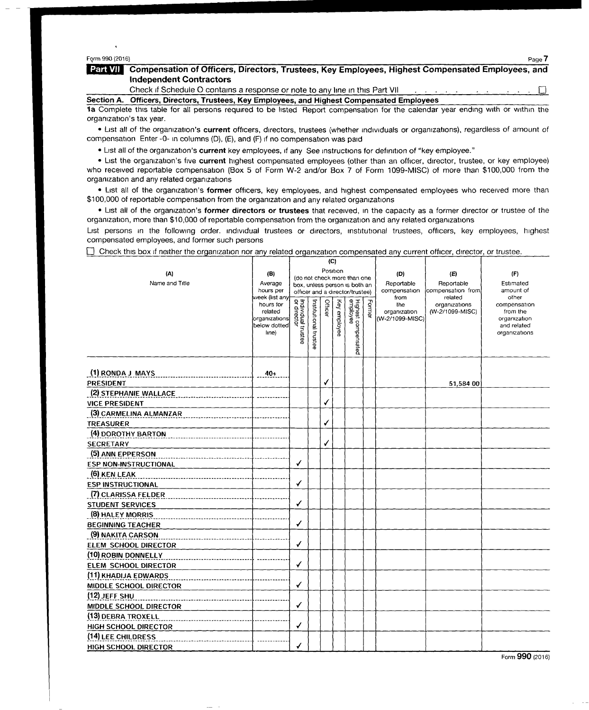## Fgrm 990 (2016) Page 7

#### Part VII | Compensation of Officers, Directors, Trustees, Key Employees, Highest Compensated Employees, and Independent Contractors

Check if Schedule O contains a response or note to any line in this Part VII.

Section A. Officers, Directors, Trustees, Key Employees, and Highest Compensated Employees

la Complete this table for all persons required to be listed Report compensation for the calendar year ending with or within the organization's tax year.

· List all of the organization's current officers, directors, trustees (whether individuals or organizations), regardless of amount of compensation Enter -0- in columns (D), (E), and (F) if no compensation was paid

• List all of the organization's current key employees, if any See instructions for definition of "key employee."

• List the organization's five current highest compensated employees (other than an officer, director, trustee, or key employee) who received reportable compensation (Box <sup>5</sup> of Form W-2 and/or Box <sup>7</sup> of Form 1099-MISC) of more than \$100,000 from the organization and any related organizations

• List all of the organization's former officers, key employees, and highest compensated employees who received more than \$100,000 of reportable compensation from the organization and any related organizations

• List all of the organization's former directors or trustees that received, in the capacity as a former director or trustee of the organization, more than \$10,000 of reportable compensation from the organization and any related organizations

List persons in the following order. Individual trustees or directors, institutional trustees, officers, key employees, highest compensated employees, and former such persons

 $\Box$  Check this box if neither the organization nor any related organization compensated any current officer, director, or trustee.

| (A)<br>Name and Title        | (B)<br>Average<br>hours per<br>week (list any<br>hours for<br>related<br>organizations<br>below dotted | Individual trustee<br>or director | (C)<br>Position<br>(do not check more than one<br>box, unless person is both an<br>officer and a director/trustee)<br>Form<br>Institutional trustee<br>Officer<br>Key employee<br>$\overline{0}$ |   |  | (D)<br>Reportable<br>compensation<br>from<br>the<br>organization<br>(W-2/1099-MISC) | (E)<br>Reportable<br>compensation from<br>related<br>organizations<br>(W-2/1099-MISC) | (F)<br>Estimated<br>amount of<br>other<br>compensation<br>from the<br>organization<br>and related |               |
|------------------------------|--------------------------------------------------------------------------------------------------------|-----------------------------------|--------------------------------------------------------------------------------------------------------------------------------------------------------------------------------------------------|---|--|-------------------------------------------------------------------------------------|---------------------------------------------------------------------------------------|---------------------------------------------------------------------------------------------------|---------------|
|                              | Ine)                                                                                                   |                                   |                                                                                                                                                                                                  |   |  | Highest compensated<br>employee                                                     |                                                                                       |                                                                                                   | organizations |
| (1) RONDA J MAYS             | $40+$                                                                                                  |                                   |                                                                                                                                                                                                  |   |  |                                                                                     |                                                                                       |                                                                                                   |               |
| PRESIDENT                    |                                                                                                        |                                   |                                                                                                                                                                                                  | ✔ |  |                                                                                     |                                                                                       | 51,584 00                                                                                         |               |
| (2) STEPHANIE WALLACE        |                                                                                                        |                                   |                                                                                                                                                                                                  |   |  |                                                                                     |                                                                                       |                                                                                                   |               |
| <b>VICE PRESIDENT</b>        |                                                                                                        |                                   |                                                                                                                                                                                                  | ✓ |  |                                                                                     |                                                                                       |                                                                                                   |               |
| (3) CARMELINA ALMANZAR       |                                                                                                        |                                   |                                                                                                                                                                                                  |   |  |                                                                                     |                                                                                       |                                                                                                   |               |
| <b>TREASURER</b>             |                                                                                                        |                                   |                                                                                                                                                                                                  | ✓ |  |                                                                                     |                                                                                       |                                                                                                   |               |
| (4) DOROTHY BARTON           |                                                                                                        |                                   |                                                                                                                                                                                                  |   |  |                                                                                     |                                                                                       |                                                                                                   |               |
| <b>SECRETARY</b>             |                                                                                                        |                                   |                                                                                                                                                                                                  | ✓ |  |                                                                                     |                                                                                       |                                                                                                   |               |
| (5) ANN EPPERSON             |                                                                                                        |                                   |                                                                                                                                                                                                  |   |  |                                                                                     |                                                                                       |                                                                                                   |               |
| <b>ESP NON-INSTRUCTIONAL</b> |                                                                                                        | ✓                                 |                                                                                                                                                                                                  |   |  |                                                                                     |                                                                                       |                                                                                                   |               |
| (6) KEN LEAK                 |                                                                                                        |                                   |                                                                                                                                                                                                  |   |  |                                                                                     |                                                                                       |                                                                                                   |               |
| <b>ESP INSTRUCTIONAL</b>     |                                                                                                        | ✔                                 |                                                                                                                                                                                                  |   |  |                                                                                     |                                                                                       |                                                                                                   |               |
| (7) CLARISSA FELDER          |                                                                                                        |                                   |                                                                                                                                                                                                  |   |  |                                                                                     |                                                                                       |                                                                                                   |               |
| <b>STUDENT SERVICES</b>      |                                                                                                        | √                                 |                                                                                                                                                                                                  |   |  |                                                                                     |                                                                                       |                                                                                                   |               |
| (8) HALEY MORRIS             |                                                                                                        |                                   |                                                                                                                                                                                                  |   |  |                                                                                     |                                                                                       |                                                                                                   |               |
| <b>BEGINNING TEACHER</b>     |                                                                                                        | √                                 |                                                                                                                                                                                                  |   |  |                                                                                     |                                                                                       |                                                                                                   |               |
| (9) NAKITA CARSON            |                                                                                                        |                                   |                                                                                                                                                                                                  |   |  |                                                                                     |                                                                                       |                                                                                                   |               |
| ELEM SCHOOL DIRECTOR         |                                                                                                        | ✓                                 |                                                                                                                                                                                                  |   |  |                                                                                     |                                                                                       |                                                                                                   |               |
| (10) ROBIN DONNELLY          |                                                                                                        |                                   |                                                                                                                                                                                                  |   |  |                                                                                     |                                                                                       |                                                                                                   |               |
| ELEM SCHOOL DIRECTOR         |                                                                                                        | ✓                                 |                                                                                                                                                                                                  |   |  |                                                                                     |                                                                                       |                                                                                                   |               |
| (11) KHADIJA EDWARDS         |                                                                                                        |                                   |                                                                                                                                                                                                  |   |  |                                                                                     |                                                                                       |                                                                                                   |               |
| MIDDLE SCHOOL DIRECTOR       |                                                                                                        | ✓                                 |                                                                                                                                                                                                  |   |  |                                                                                     |                                                                                       |                                                                                                   |               |
| $(12)$ JEFF SHU              |                                                                                                        |                                   |                                                                                                                                                                                                  |   |  |                                                                                     |                                                                                       |                                                                                                   |               |
| MIDDLE SCHOOL DIRECTOR       |                                                                                                        | ✓                                 |                                                                                                                                                                                                  |   |  |                                                                                     |                                                                                       |                                                                                                   |               |
| (13) DEBRA TROXELL           |                                                                                                        |                                   |                                                                                                                                                                                                  |   |  |                                                                                     |                                                                                       |                                                                                                   |               |
| HIGH SCHOOL DIRECTOR         |                                                                                                        | √                                 |                                                                                                                                                                                                  |   |  |                                                                                     |                                                                                       |                                                                                                   |               |
| (14) LEE CHILDRESS           |                                                                                                        |                                   |                                                                                                                                                                                                  |   |  |                                                                                     |                                                                                       |                                                                                                   |               |
| <b>HIGH SCHOOL DIRECTOR</b>  |                                                                                                        | ✓                                 |                                                                                                                                                                                                  |   |  |                                                                                     |                                                                                       |                                                                                                   |               |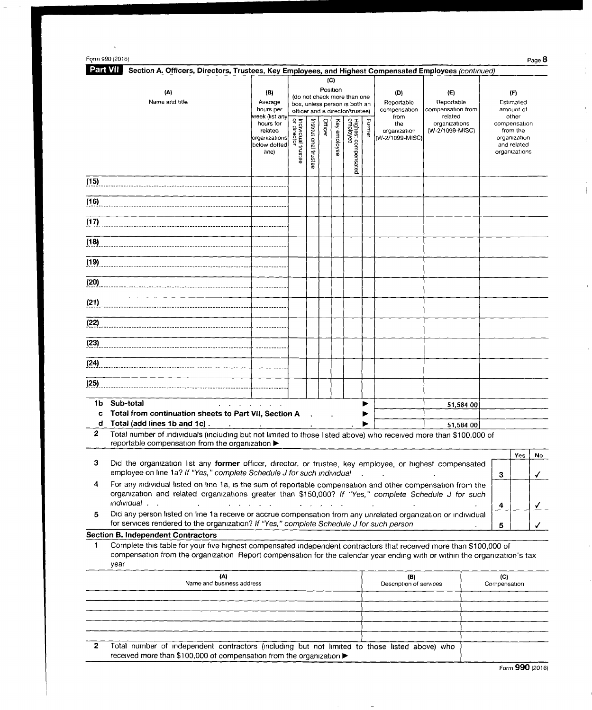| Form 990 (2016)                                                                                                           |                                                                                               |                                       |                         |                 |                 |                                                                                                  |            |                                                                                       |                                                                                       | Page 8                                                                                         |
|---------------------------------------------------------------------------------------------------------------------------|-----------------------------------------------------------------------------------------------|---------------------------------------|-------------------------|-----------------|-----------------|--------------------------------------------------------------------------------------------------|------------|---------------------------------------------------------------------------------------|---------------------------------------------------------------------------------------|------------------------------------------------------------------------------------------------|
| <b>Part VII</b><br>Section A. Officers, Directors, Trustees, Key Employees, and Highest Compensated Employees (continued) |                                                                                               |                                       |                         |                 |                 |                                                                                                  |            |                                                                                       |                                                                                       |                                                                                                |
| (A)<br>Name and title                                                                                                     | (B)<br>Average                                                                                |                                       |                         | (C)<br>Position |                 | (do not check more than one<br>box, unless person is both an                                     |            | (D)<br>Reportable<br>compensation<br>from<br>the<br>organization<br>[rW-2/1099-MISC)] | (E)<br>Reportable<br>compensation from<br>related<br>organizations<br>(W-2/1099-MISC) | (F)<br>Estimated                                                                               |
|                                                                                                                           | hours per<br>week (list any<br>hours for<br>related<br>organizations<br>below dotted<br>line) | Individual tr<br>or director<br>ustee | nstitutional<br>trustee | Officer         | Κey<br>employee | officer and a director/trustee)<br><b>Highest</b><br>employe<br>စိဂ္ဂိ<br>prpen<br><b>Isated</b> | ᆩ<br>orme) |                                                                                       |                                                                                       | amount of<br>other<br>compensation<br>from the<br>organization<br>and related<br>organizations |
| (15)                                                                                                                      |                                                                                               |                                       |                         |                 |                 |                                                                                                  |            |                                                                                       |                                                                                       |                                                                                                |
| (16)                                                                                                                      |                                                                                               |                                       |                         |                 |                 |                                                                                                  |            |                                                                                       |                                                                                       |                                                                                                |

|                                                                                                                                                                                        | related<br>organizations<br>below dotted<br>line) | ividual trustee<br>director | thutional trustee | iger | y employee | jhest compensated<br>Iployee | للناقا | organization<br>W-2/1099-MISC) | (W-2/1099-MISC) | from the<br>organization<br>and related<br>organizations |
|----------------------------------------------------------------------------------------------------------------------------------------------------------------------------------------|---------------------------------------------------|-----------------------------|-------------------|------|------------|------------------------------|--------|--------------------------------|-----------------|----------------------------------------------------------|
| (15)                                                                                                                                                                                   |                                                   |                             |                   |      |            |                              |        |                                |                 |                                                          |
| (16)                                                                                                                                                                                   |                                                   |                             |                   |      |            |                              |        |                                |                 |                                                          |
| (17)                                                                                                                                                                                   |                                                   |                             |                   |      |            |                              |        |                                |                 |                                                          |
| (18)                                                                                                                                                                                   |                                                   |                             |                   |      |            |                              |        |                                |                 |                                                          |
| (19)                                                                                                                                                                                   |                                                   |                             |                   |      |            |                              |        |                                |                 |                                                          |
| (20)                                                                                                                                                                                   |                                                   |                             |                   |      |            |                              |        |                                |                 |                                                          |
| (21)                                                                                                                                                                                   |                                                   |                             |                   |      |            |                              |        |                                |                 |                                                          |
| (22)                                                                                                                                                                                   |                                                   |                             |                   |      |            |                              |        |                                |                 |                                                          |
| (23)                                                                                                                                                                                   |                                                   |                             |                   |      |            |                              |        |                                |                 |                                                          |
| (24)                                                                                                                                                                                   |                                                   |                             |                   |      |            |                              |        |                                |                 |                                                          |
| (25)                                                                                                                                                                                   |                                                   |                             |                   |      |            |                              |        |                                |                 |                                                          |
| Sub-total<br>1b<br>and a state of the state of                                                                                                                                         |                                                   |                             |                   |      |            |                              | ▶      |                                | 51,584 00       |                                                          |
| Total from continuation sheets to Part VII, Section A<br>C                                                                                                                             |                                                   |                             | $\sim$            |      |            |                              |        |                                |                 |                                                          |
| Total (add lines 1b and 1c).<br>d<br>$\mathbf{r}$                                                                                                                                      |                                                   |                             |                   |      |            |                              |        |                                | 51,584 00       |                                                          |
| $\overline{2}$<br>Total number of individuals (including but not limited to those listed above) who received more than \$100,000 of<br>reportable compensation from the organization > |                                                   |                             |                   |      |            |                              |        |                                |                 |                                                          |

|                                                                                                                                                                                                                                                                                                        | Yes | No |
|--------------------------------------------------------------------------------------------------------------------------------------------------------------------------------------------------------------------------------------------------------------------------------------------------------|-----|----|
| Did the organization list any former officer, director, or trustee, key employee, or highest compensated<br>employee on line 1a? If "Yes," complete Schedule J for such individual .                                                                                                                   |     |    |
| For any individual listed on line 1a, is the sum of reportable compensation and other compensation from the<br>organization and related organizations greater than \$150,000? If "Yes," complete Schedule J for such<br><i>individual</i><br>$\mathbf{r}$ , $\mathbf{r}$ , $\mathbf{r}$ , $\mathbf{r}$ |     |    |
|                                                                                                                                                                                                                                                                                                        |     |    |
| Did any person listed on line 1a receive or accrue compensation from any unrelated organization or individual<br>for services rendered to the organization? If "Yes," complete Schedule J for such person                                                                                              |     |    |

# Section B. Independent Contractors

<sup>1</sup> Complete this table for your five highest compensated independent contractors that received more than \$100,000 of compensation from the organization Report compensation for the calendar year ending with or within the organization's tax year

|    | (A)<br>Name and business address                                                                                                                                      | (B)<br>Description of services | Compensation |
|----|-----------------------------------------------------------------------------------------------------------------------------------------------------------------------|--------------------------------|--------------|
|    |                                                                                                                                                                       |                                |              |
|    |                                                                                                                                                                       |                                |              |
|    |                                                                                                                                                                       |                                |              |
|    |                                                                                                                                                                       |                                |              |
|    |                                                                                                                                                                       |                                |              |
| 2. | Total number of independent contractors (including but not limited to those listed above) who<br>received more than \$100,000 of compensation from the organization ▶ |                                |              |

Form 990 (2016)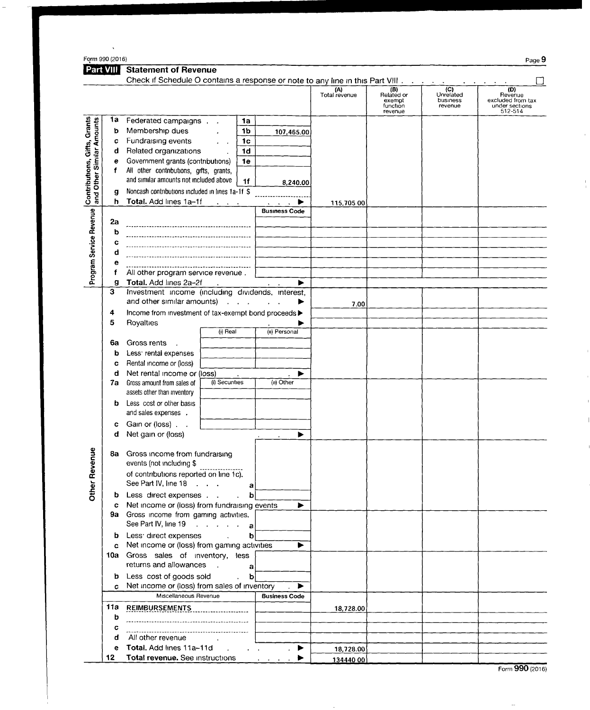|                                                           | Form 990 (2016)<br>Part VIII | <b>Statement of Revenue</b>                                                                                     |                      |                      |                                                      |                                                      | Page 9                                                           |
|-----------------------------------------------------------|------------------------------|-----------------------------------------------------------------------------------------------------------------|----------------------|----------------------|------------------------------------------------------|------------------------------------------------------|------------------------------------------------------------------|
|                                                           |                              | Check if Schedule O contains a response or note to any line in this Part VIII.                                  |                      |                      |                                                      |                                                      |                                                                  |
|                                                           |                              |                                                                                                                 |                      | (A)<br>Total revenue | $(B)$<br>Related or<br>exempt<br>function<br>revenue | $\overline{(C)}$<br>Unrelated<br>business<br>revenue | (D)<br>Revenue<br>excluded from tax<br>under sections<br>512-514 |
|                                                           | 1a                           | Federated campaigns<br>1a                                                                                       |                      |                      |                                                      |                                                      |                                                                  |
| Contributions, Gifts, Grants<br>and Other Similar Amounts | b                            | Membership dues<br>1b                                                                                           | 107,465.00           |                      |                                                      |                                                      |                                                                  |
|                                                           | c                            | Fundraising events<br>1 <sub>c</sub>                                                                            |                      |                      |                                                      |                                                      |                                                                  |
|                                                           | d                            | 1 <sub>d</sub><br>Related organizations                                                                         |                      |                      |                                                      |                                                      |                                                                  |
|                                                           | е                            | Government grants (contributions)<br>1e                                                                         |                      |                      |                                                      |                                                      |                                                                  |
|                                                           | f                            | All other contributions, gifts, grants,<br>and similar amounts not included above<br>1 <sub>f</sub>             |                      |                      |                                                      |                                                      |                                                                  |
|                                                           | g                            | Noncash contributions included in lines 1a-1f \$                                                                | 8,240.00             |                      |                                                      |                                                      |                                                                  |
|                                                           | h.                           | Total. Add lines 1a-1f                                                                                          |                      | 115,705 00           |                                                      |                                                      |                                                                  |
|                                                           |                              |                                                                                                                 | <b>Business Code</b> |                      |                                                      |                                                      |                                                                  |
| Program Service Revenue                                   | 2a                           |                                                                                                                 |                      |                      |                                                      |                                                      |                                                                  |
|                                                           | ь                            |                                                                                                                 |                      |                      |                                                      |                                                      |                                                                  |
|                                                           | c                            |                                                                                                                 |                      |                      |                                                      |                                                      |                                                                  |
|                                                           | d                            |                                                                                                                 |                      |                      |                                                      |                                                      |                                                                  |
|                                                           | е                            |                                                                                                                 |                      |                      |                                                      |                                                      |                                                                  |
|                                                           |                              | All other program service revenue.                                                                              |                      |                      |                                                      |                                                      |                                                                  |
|                                                           | g<br>3                       | Total. Add lines 2a-2f<br>Investment income (including dividends, interest,                                     |                      |                      |                                                      |                                                      |                                                                  |
|                                                           |                              | and other similar amounts)                                                                                      |                      | 7.00                 |                                                      |                                                      |                                                                  |
|                                                           | 4                            | Income from investment of tax-exempt bond proceeds >                                                            |                      |                      |                                                      |                                                      |                                                                  |
|                                                           | 5                            | Royalties                                                                                                       |                      |                      |                                                      |                                                      |                                                                  |
|                                                           |                              | (i) Real                                                                                                        | (ii) Personal        |                      |                                                      |                                                      |                                                                  |
|                                                           | 6а                           | Gross rents                                                                                                     |                      |                      |                                                      |                                                      |                                                                  |
|                                                           | b                            | Less <sup>e</sup> rental expenses                                                                               |                      |                      |                                                      |                                                      |                                                                  |
|                                                           | c                            | Rental income or (loss)                                                                                         |                      |                      |                                                      |                                                      |                                                                  |
|                                                           | d<br>7a                      | Net rental income or (loss)<br>(i) Securities<br>Gross amount from sales of                                     | ▶<br>(ii) Other      |                      |                                                      |                                                      |                                                                  |
|                                                           |                              | assets other than inventory                                                                                     |                      |                      |                                                      |                                                      |                                                                  |
|                                                           | b                            | Less cost or other basis                                                                                        |                      |                      |                                                      |                                                      |                                                                  |
|                                                           |                              | and sales expenses .                                                                                            |                      |                      |                                                      |                                                      |                                                                  |
|                                                           | с                            | Gain or (loss).                                                                                                 |                      |                      |                                                      |                                                      |                                                                  |
|                                                           | d                            | Net gain or (loss)                                                                                              | ▶                    |                      |                                                      |                                                      |                                                                  |
|                                                           |                              | 8a Gross income from fundraising<br>events (not including \$                                                    |                      |                      |                                                      |                                                      |                                                                  |
| <b>Other Revenue</b>                                      |                              | of contributions reported on line 1c).<br>See Part IV, line 18                                                  |                      |                      |                                                      |                                                      |                                                                  |
|                                                           |                              | a<br><b>b</b> Less direct expenses<br>b                                                                         |                      |                      |                                                      |                                                      |                                                                  |
|                                                           | c                            | Net income or (loss) from fundraising events                                                                    | ▶                    |                      |                                                      |                                                      |                                                                  |
|                                                           |                              | 9a Gross income from gaming activities.                                                                         |                      |                      |                                                      |                                                      |                                                                  |
|                                                           |                              | See Part IV, line 19<br>$\mathbf{a}$                                                                            |                      |                      |                                                      |                                                      |                                                                  |
|                                                           | b                            | Less direct expenses and the set of the set of the set of the set of the set of the set of the set o<br>bl      |                      |                      |                                                      |                                                      |                                                                  |
|                                                           | c                            | Net income or (loss) from gaming activities                                                                     | ▶                    |                      |                                                      |                                                      |                                                                  |
|                                                           |                              | 10a Gross sales of inventory, less                                                                              |                      |                      |                                                      |                                                      |                                                                  |
|                                                           |                              | returns and allowances<br>$\sim 10^{-1}$<br>a                                                                   |                      |                      |                                                      |                                                      |                                                                  |
|                                                           | b.                           | $\mathbf{b}$<br>Less cost of goods sold<br>$\ddot{\phantom{0}}$<br>Net income or (loss) from sales of inventory | ▶                    |                      |                                                      |                                                      |                                                                  |
|                                                           | c                            | Miscellaneous Revenue                                                                                           | <b>Business Code</b> |                      |                                                      |                                                      |                                                                  |
|                                                           | 11a                          | <b>REIMBURSEMENTS</b>                                                                                           |                      | 18,728.00            |                                                      |                                                      |                                                                  |
|                                                           | b                            |                                                                                                                 |                      |                      |                                                      |                                                      |                                                                  |
|                                                           | с                            |                                                                                                                 |                      |                      |                                                      |                                                      |                                                                  |
|                                                           | đ                            | All other revenue<br>$\sim$ $\sim$                                                                              |                      |                      |                                                      |                                                      |                                                                  |
|                                                           | е                            | <b>Total.</b> Add lines 11a-11d                                                                                 | ▶                    | 18,728.00            |                                                      |                                                      |                                                                  |
|                                                           | 12                           | Total revenue. See instructions                                                                                 |                      | 134440 00            |                                                      |                                                      |                                                                  |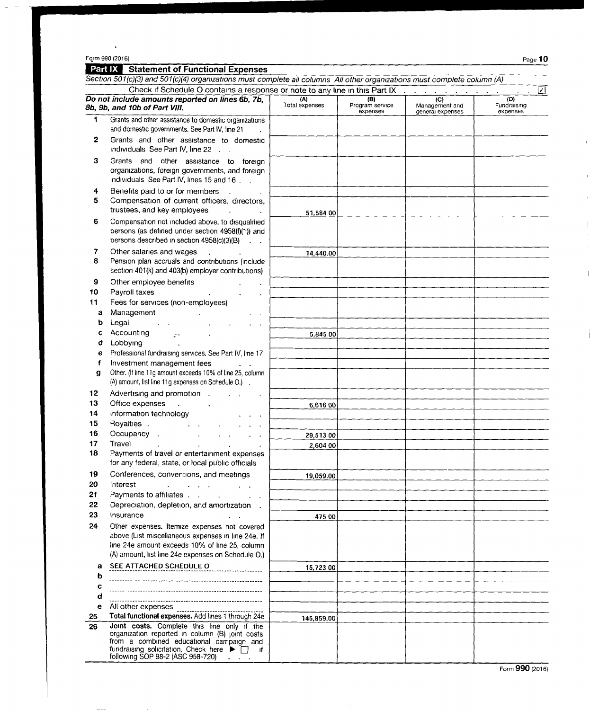## Form 990 (2016) Page  $10$

 $\mathcal{A}^{\mathcal{A}}$ 

 $\bar{1}$ 

 $\hat{\mathbf{I}}$ 

 $\overline{1}$ 

 $\overline{\phantom{a}}$ 

 $\overline{\phantom{a}}$ 

### Statement of Functional Expenses

|                                                                                                                      | Section 501(c)(3) and 501(c)(4) organizations must complete all columns All other organizations must complete column (A)                                                |                       |                                    |                                           |                                |  |  |
|----------------------------------------------------------------------------------------------------------------------|-------------------------------------------------------------------------------------------------------------------------------------------------------------------------|-----------------------|------------------------------------|-------------------------------------------|--------------------------------|--|--|
| Check if Schedule O contains a response or note to any line in this Part IX<br>☑<br>and the contract of the state of |                                                                                                                                                                         |                       |                                    |                                           |                                |  |  |
|                                                                                                                      | Do not include amounts reported on lines 6b, 7b,<br>8b, 9b, and 10b of Part VIII.                                                                                       | (A)<br>Total expenses | (B)<br>Program service<br>expenses | (C)<br>Management and<br>general expenses | (D)<br>Fundraising<br>expenses |  |  |
| 1                                                                                                                    | Grants and other assistance to domestic organizations                                                                                                                   |                       |                                    |                                           |                                |  |  |
|                                                                                                                      | and domestic governments. See Part IV, line 21                                                                                                                          |                       |                                    |                                           |                                |  |  |
| 2                                                                                                                    | Grants and other assistance to domestic<br>individuals See Part IV, line 22                                                                                             |                       |                                    |                                           |                                |  |  |
| з                                                                                                                    | Grants and other assistance to foreign<br>organizations, foreign governments, and foreign<br>Individuals See Part IV, lines 15 and 16.                                  |                       |                                    |                                           |                                |  |  |
| 4<br>5                                                                                                               | Benefits paid to or for members<br>Compensation of current officers, directors,<br>trustees, and key employees                                                          | 51,584 00             |                                    |                                           |                                |  |  |
| 6                                                                                                                    | Compensation not included above, to disqualified<br>persons (as defined under section 4958(f)(1)) and<br>persons described in section 4958(c)(3)(B)<br>$\sim 10$ $\sim$ |                       |                                    |                                           |                                |  |  |
| 7<br>8                                                                                                               | Other salaries and wages<br>Pension plan accruals and contributions (include<br>section 401(k) and 403(b) employer contributions)                                       | 14,440.00             |                                    |                                           |                                |  |  |
| 9                                                                                                                    | Other employee benefits                                                                                                                                                 |                       |                                    |                                           |                                |  |  |
| 10                                                                                                                   | Payroll taxes                                                                                                                                                           |                       |                                    |                                           |                                |  |  |
| 11                                                                                                                   | Fees for services (non-employees)                                                                                                                                       |                       |                                    |                                           |                                |  |  |
| а                                                                                                                    | Management                                                                                                                                                              |                       |                                    |                                           |                                |  |  |
| b                                                                                                                    | Legal                                                                                                                                                                   |                       |                                    |                                           |                                |  |  |
|                                                                                                                      | Accounting<br>УY.                                                                                                                                                       | 5,845 00              |                                    |                                           |                                |  |  |
| d                                                                                                                    | Lobbying                                                                                                                                                                |                       |                                    |                                           |                                |  |  |
| е                                                                                                                    | Professional fundraising services. See Part IV, line 17                                                                                                                 |                       |                                    |                                           |                                |  |  |
| f                                                                                                                    | Investment management fees                                                                                                                                              |                       |                                    |                                           |                                |  |  |
| g                                                                                                                    | Other. (If line 11g amount exceeds 10% of line 25, column<br>(A) amount, list line 11g expenses on Schedule O.).                                                        |                       |                                    |                                           |                                |  |  |
| 12                                                                                                                   | Advertising and promotion.                                                                                                                                              |                       |                                    |                                           |                                |  |  |
| 13                                                                                                                   | Office expenses                                                                                                                                                         | 6,616 00              |                                    |                                           |                                |  |  |
| 14                                                                                                                   | Information technology                                                                                                                                                  |                       |                                    |                                           |                                |  |  |
| 15                                                                                                                   | Royalties.                                                                                                                                                              |                       |                                    |                                           |                                |  |  |
| 16                                                                                                                   | Occupancy.<br>Travel                                                                                                                                                    | 29,513 00             |                                    |                                           |                                |  |  |
| 17<br>18                                                                                                             | Payments of travel or entertainment expenses                                                                                                                            | 2,604 00              |                                    |                                           |                                |  |  |
|                                                                                                                      | for any federal, state, or local public officials                                                                                                                       |                       |                                    |                                           |                                |  |  |
| 19                                                                                                                   | Conferences, conventions, and meetings                                                                                                                                  | 19,059.00             |                                    |                                           |                                |  |  |
| 20<br>21                                                                                                             | Interest<br>$\mathcal{A}^{\mathcal{A}}$ and $\mathcal{A}^{\mathcal{A}}$<br>$\mathcal{L} = \mathcal{L}$                                                                  |                       |                                    |                                           |                                |  |  |
| 22                                                                                                                   | Payments to affiliates<br>Depreciation, depletion, and amortization.                                                                                                    |                       |                                    |                                           |                                |  |  |
| 23                                                                                                                   | Insurance                                                                                                                                                               |                       |                                    |                                           |                                |  |  |
| 24                                                                                                                   | Other expenses. Itemize expenses not covered                                                                                                                            | 475 00                |                                    |                                           |                                |  |  |
|                                                                                                                      | above (List miscellaneous expenses in line 24e. If                                                                                                                      |                       |                                    |                                           |                                |  |  |
|                                                                                                                      | line 24e amount exceeds 10% of line 25, column                                                                                                                          |                       |                                    |                                           |                                |  |  |
|                                                                                                                      | (A) amount, list line 24e expenses on Schedule O.)                                                                                                                      |                       |                                    |                                           |                                |  |  |
| a                                                                                                                    | SEE ATTACHED SCHEDULE O                                                                                                                                                 | 15,723 00             |                                    |                                           |                                |  |  |
| b                                                                                                                    |                                                                                                                                                                         |                       |                                    |                                           |                                |  |  |
| c                                                                                                                    |                                                                                                                                                                         |                       |                                    |                                           |                                |  |  |
| d                                                                                                                    |                                                                                                                                                                         |                       |                                    |                                           |                                |  |  |
| е                                                                                                                    | All other expenses                                                                                                                                                      |                       |                                    |                                           |                                |  |  |
| 25                                                                                                                   | Total functional expenses. Add lines 1 through 24e                                                                                                                      | 145,859.00            |                                    |                                           |                                |  |  |
| 26                                                                                                                   | Joint costs. Complete this line only if the<br>organization reported in column (B) joint costs                                                                          |                       |                                    |                                           |                                |  |  |
|                                                                                                                      | from a combined educational campaign and<br>fundraising solicitation. Check here $\blacktriangleright \Box$ if<br>following SOP 98-2 (ASC 958-720) $\qquad \qquad$      |                       |                                    |                                           |                                |  |  |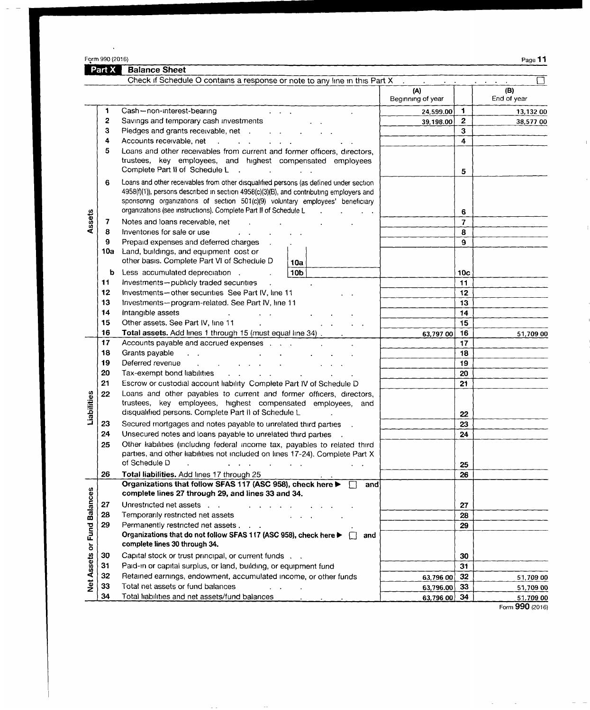$\ddot{\phantom{a}}$ 

 $\overline{\phantom{a}}$  $\overline{\phantom{0}}$ 

 $\mathbb{F}$ 

 $\bar{1}$ 

Balance Sheet

|                             |     | Check if Schedule O contains a response or note to any line in this Part X                                                                                                |                          |                              |                    |
|-----------------------------|-----|---------------------------------------------------------------------------------------------------------------------------------------------------------------------------|--------------------------|------------------------------|--------------------|
|                             |     |                                                                                                                                                                           | (A)<br>Beginning of year |                              | (B)<br>End of year |
|                             | 1   | Cash-non-interest-bearing                                                                                                                                                 | 24,599.00                | $\mathbf{1}$                 | 13,132 00          |
|                             | 2   | Savings and temporary cash investments                                                                                                                                    | 39,198.00                | $\mathbf{2}$                 | 38,577 00          |
|                             | З   | Pledges and grants receivable, net                                                                                                                                        |                          | 3                            |                    |
|                             | 4   | Accounts receivable, net                                                                                                                                                  |                          | $\overline{\mathbf{4}}$      |                    |
|                             | 5   | Loans and other receivables from current and former officers, directors,                                                                                                  |                          |                              |                    |
|                             |     | trustees, key employees, and highest compensated employees                                                                                                                |                          |                              |                    |
|                             |     | Complete Part II of Schedule L<br>$\sim$<br><b>Contract Contract</b>                                                                                                      |                          | 5                            |                    |
|                             | 6   | Loans and other receivables from other disqualified persons (as defined under section                                                                                     |                          |                              |                    |
|                             |     | 4958(f)(1)), persons described in section 4958(c)(3)(B), and contributing employers and<br>sponsoring organizations of section 501(c)(9) voluntary employees' beneficiary |                          |                              |                    |
|                             |     | organizations (see instructions). Complete Part II of Schedule L<br>$\sim$                                                                                                |                          |                              |                    |
|                             | 7   | Notes and loans receivable, net                                                                                                                                           |                          | 6<br>$\overline{\mathbf{z}}$ |                    |
| Assets                      | 8   | Inventories for sale or use                                                                                                                                               |                          | 8                            |                    |
|                             | 9   | Prepaid expenses and deferred charges                                                                                                                                     |                          | 9                            |                    |
|                             | 10a | Land, buildings, and equipment cost or                                                                                                                                    |                          |                              |                    |
|                             |     | other basis. Complete Part VI of Schedule D<br>10a                                                                                                                        |                          |                              |                    |
|                             | b   | 10 <sub>b</sub><br>Less accumulated depreciation.                                                                                                                         |                          | 10c                          |                    |
|                             | 11  | Investments-publicly traded securities                                                                                                                                    |                          | 11                           |                    |
|                             | 12  | Investments-other securities See Part IV, line 11                                                                                                                         |                          | 12                           |                    |
|                             | 13  | Investments-program-related. See Part IV, line 11                                                                                                                         |                          | 13                           |                    |
|                             | 14  | Intangible assets                                                                                                                                                         |                          | 14                           |                    |
|                             | 15  | Other assets. See Part IV, line 11<br>$\mathcal{L}^{\text{max}}$ and $\mathcal{L}^{\text{max}}$                                                                           |                          | 15                           |                    |
|                             | 16  | Total assets. Add lines 1 through 15 (must equal line 34) . _ _ . _                                                                                                       | 63,797 00                | 16                           | 51,709 00          |
|                             | 17  | Accounts payable and accrued expenses                                                                                                                                     |                          | 17                           |                    |
|                             | 18  | Grants payable<br>$\sim$ $\sim$                                                                                                                                           |                          | 18                           |                    |
|                             | 19  | Deferred revenue<br>$\mathbf{A}^{(1)}$ and $\mathbf{A}^{(2)}$ and $\mathbf{A}^{(3)}$                                                                                      |                          | 19                           |                    |
|                             | 20  | Tax-exempt bond liabilities<br><b>All Card Corporation</b>                                                                                                                |                          | 20                           |                    |
|                             | 21  | Escrow or custodial account liability Complete Part IV of Schedule D                                                                                                      |                          | 21                           |                    |
| Liabilities                 | 22  | Loans and other payables to current and former officers, directors,<br>trustees, key employees, highest compensated employees, and                                        |                          |                              |                    |
|                             |     | disqualified persons. Complete Part II of Schedule L                                                                                                                      |                          | 22                           |                    |
|                             | 23  | Secured mortgages and notes payable to unrelated third parties                                                                                                            |                          | 23                           |                    |
|                             | 24  | Unsecured notes and loans payable to unrelated third parties                                                                                                              |                          | 24                           |                    |
|                             | 25  | Other liabilities (including federal income tax, payables to related third                                                                                                |                          |                              |                    |
|                             |     | parties, and other liabilities not included on lines 17-24). Complete Part X                                                                                              |                          |                              |                    |
|                             |     | of Schedule D<br>the contract of the contract of the contract of the contract of the contract of                                                                          |                          | 25                           |                    |
|                             | 26  | Total liabilities. Add lines 17 through 25                                                                                                                                |                          | 26                           |                    |
| Net Assets or Fund Balances |     | Organizations that follow SFAS 117 (ASC 958), check here<br>and<br>$\Box$<br>complete lines 27 through 29, and lines 33 and 34.                                           |                          |                              |                    |
|                             | 27  | Unrestricted net assets                                                                                                                                                   |                          | 27                           |                    |
|                             | 28  | Temporarily restricted net assets                                                                                                                                         |                          | 28                           |                    |
|                             | 29  | Permanently restricted net assets                                                                                                                                         |                          | 29                           |                    |
|                             |     | Organizations that do not follow SFAS 117 (ASC 958), check here $\blacktriangleright \Box$<br>and                                                                         |                          |                              |                    |
|                             |     | complete lines 30 through 34.                                                                                                                                             |                          |                              |                    |
|                             | 30  | Capital stock or trust principal, or current funds                                                                                                                        |                          | 30                           |                    |
|                             | 31  | Paid-in or capital surplus, or land, building, or equipment fund                                                                                                          |                          | 31                           |                    |
|                             | 32  | Retained earnings, endowment, accumulated income, or other funds                                                                                                          | 63,796 00                | 32                           | 51,709 00          |
|                             | 33  | Total net assets or fund balances                                                                                                                                         | 63,796.00                | 33                           | 51,709 00          |
|                             | 34  | Total liabilities and net assets/fund balances                                                                                                                            | 63,796 00                | 34                           | 51,709 00          |

 $\sim$  -  $\sim$ 

 $\omega_{\rm{eff}}$ 

Form 990 (2016)

 $\overline{\phantom{a}}$ 

 $\bar{\gamma}$ 

 $\equiv$  $\overline{\phantom{a}}$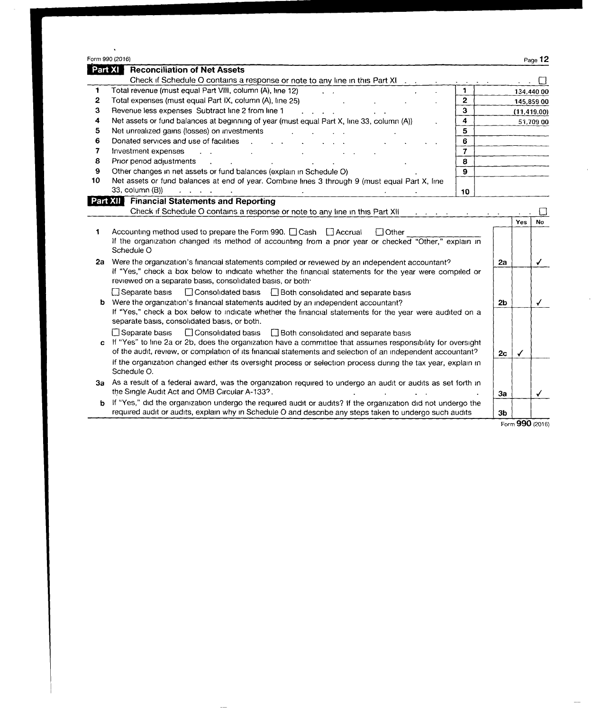|    | Form 990 (2016)                                                                                                              |              |    |                                            | Page 12      |
|----|------------------------------------------------------------------------------------------------------------------------------|--------------|----|--------------------------------------------|--------------|
|    | Part XI<br><b>Reconciliation of Net Assets</b>                                                                               |              |    |                                            |              |
|    | Check if Schedule O contains a response or note to any line in this Part XI                                                  |              |    | $\mathbf{a} = \mathbf{a} \cdot \mathbf{a}$ |              |
| 1. | Total revenue (must equal Part VIII, column (A), line 12)<br><b>Contract Contract</b>                                        | 1            |    |                                            | 134,440 00   |
| 2  | Total expenses (must equal Part IX, column (A), line 25)                                                                     | $\mathbf{2}$ |    | 145,859 00                                 |              |
| 3  | Revenue less expenses Subtract line 2 from line 1<br><b>Service Control</b>                                                  | $\mathbf{3}$ |    | (11, 419.00)                               |              |
| 4  | Net assets or fund balances at beginning of year (must equal Part X, line 33, column (A))                                    | 4            |    |                                            | 51.709 00    |
| 5  | Net unrealized gains (losses) on investments                                                                                 | 5            |    |                                            |              |
| 6  | Donated services and use of facilities                                                                                       | 6            |    |                                            |              |
| 7  | Investment expenses<br>$\mathbf{L} = \mathbf{L}$                                                                             | $\mathbf{7}$ |    |                                            |              |
| 8  | Prior period adjustments                                                                                                     | 8            |    |                                            |              |
| 9  | Other changes in net assets or fund balances (explain in Schedule O)                                                         | $\mathbf{9}$ |    |                                            |              |
| 10 | Net assets or fund balances at end of year. Combine lines 3 through 9 (must equal Part X, line                               |              |    |                                            |              |
|    | 33, column (B))                                                                                                              | 10           |    |                                            |              |
|    | <b>Financial Statements and Reporting</b><br>Part XII                                                                        |              |    |                                            |              |
|    | Check if Schedule O contains a response or note to any line in this Part XII                                                 |              |    |                                            |              |
|    |                                                                                                                              |              |    | Yes                                        | <b>No</b>    |
| 1. | Accounting method used to prepare the Form 990. [Cash [] Accrual<br>$\Box$ Other                                             |              |    |                                            |              |
|    | If the organization changed its method of accounting from a prior year or checked "Other," explain in                        |              |    |                                            |              |
|    | Schedule O                                                                                                                   |              |    |                                            |              |
| 2a | Were the organization's financial statements compiled or reviewed by an independent accountant?                              |              | 2a |                                            | $\checkmark$ |
|    | If "Yes," check a box below to indicate whether the financial statements for the year were compiled or                       |              |    |                                            |              |
|    | reviewed on a separate basis, consolidated basis, or both.                                                                   |              |    |                                            |              |
|    | Separate basis<br>□ Consolidated basis □ Both consolidated and separate basis                                                |              |    |                                            |              |
|    | <b>b</b> Were the organization's financial statements audited by an independent accountant?                                  |              |    | 2 <sub>b</sub>                             | √            |
|    | If "Yes," check a box below to indicate whether the financial statements for the year were audited on a                      |              |    |                                            |              |
|    | separate basis, consolidated basis, or both.                                                                                 |              |    |                                            |              |
|    | □ Separate basis<br>□ Consolidated basis<br>Both consolidated and separate basis                                             |              |    |                                            |              |
| Ċ  | If "Yes" to line 2a or 2b, does the organization have a committee that assumes responsibility for oversight                  |              |    |                                            |              |
|    | of the audit, review, or compilation of its financial statements and selection of an independent accountant?                 |              |    | 2 <sub>c</sub><br>✓                        |              |
|    | If the organization changed either its oversight process or selection process during the tax year, explain in<br>Schedule O. |              |    |                                            |              |

3a As a result of a federal award, was the organization required to undergo an audit or audits as set forth in the Single Audit Act and OMB Circular A-133?.

b If "Yes," did the organization undergo the required audit or audits? If the organization did not undergo the required audit or audits, explain why in Schedule O and describe any steps taken to undergo such audits  $\qquad$   $\mid$  3b

 $\frac{3b}{\text{Form }990}$  (2016)